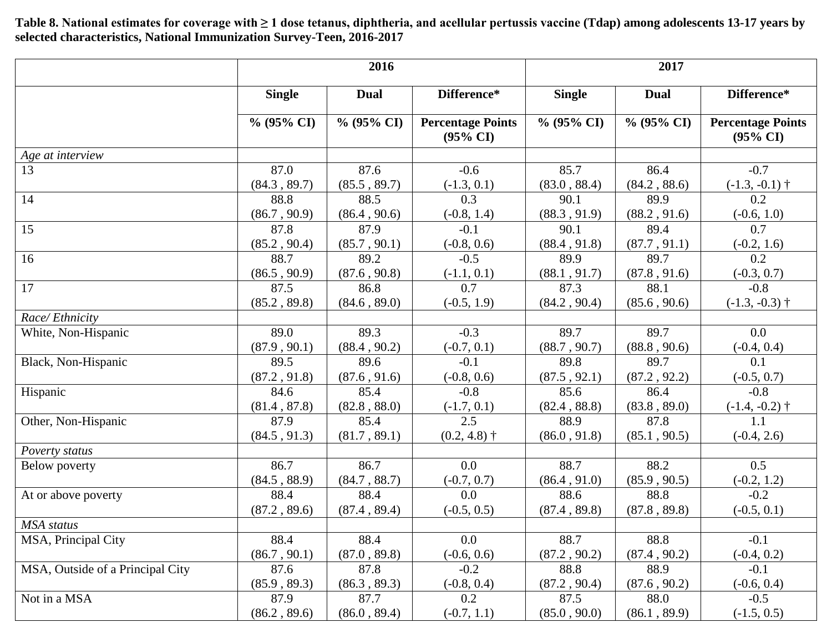**Table 8. National estimates for coverage with ≥ 1 dose tetanus, diphtheria, and acellular pertussis vaccine (Tdap) among adolescents 13-17 years by selected characteristics, National Immunization Survey-Teen, 2016-2017**

|                                  | 2016          |               |                                                 | 2017          |               |                                                 |  |
|----------------------------------|---------------|---------------|-------------------------------------------------|---------------|---------------|-------------------------------------------------|--|
|                                  | <b>Single</b> | <b>Dual</b>   | Difference*                                     | <b>Single</b> | <b>Dual</b>   | Difference*                                     |  |
|                                  | $\%$ (95% CI) | $\%$ (95% CI) | <b>Percentage Points</b><br>$(95\% \text{ CI})$ | $\%$ (95% CI) | $\%$ (95% CI) | <b>Percentage Points</b><br>$(95\% \text{ CI})$ |  |
| Age at interview                 |               |               |                                                 |               |               |                                                 |  |
| 13                               | 87.0          | 87.6          | $-0.6$                                          | 85.7          | 86.4          | $-0.7$                                          |  |
|                                  | (84.3, 89.7)  | (85.5, 89.7)  | $(-1.3, 0.1)$                                   | (83.0, 88.4)  | (84.2, 88.6)  | $(-1.3, -0.1)$ †                                |  |
| 14                               | 88.8          | 88.5          | 0.3                                             | 90.1          | 89.9          | 0.2                                             |  |
|                                  | (86.7, 90.9)  | (86.4, 90.6)  | $(-0.8, 1.4)$                                   | (88.3, 91.9)  | (88.2, 91.6)  | $(-0.6, 1.0)$                                   |  |
| 15                               | 87.8          | 87.9          | $-0.1$                                          | 90.1          | 89.4          | 0.7                                             |  |
|                                  | (85.2, 90.4)  | (85.7, 90.1)  | $(-0.8, 0.6)$                                   | (88.4, 91.8)  | (87.7, 91.1)  | $(-0.2, 1.6)$                                   |  |
| 16                               | 88.7          | 89.2          | $-0.5$                                          | 89.9          | 89.7          | 0.2                                             |  |
|                                  | (86.5, 90.9)  | (87.6, 90.8)  | $(-1.1, 0.1)$                                   | (88.1, 91.7)  | (87.8, 91.6)  | $(-0.3, 0.7)$                                   |  |
| 17                               | 87.5          | 86.8          | 0.7                                             | 87.3          | 88.1          | $-0.8$                                          |  |
|                                  | (85.2, 89.8)  | (84.6, 89.0)  | $(-0.5, 1.9)$                                   | (84.2, 90.4)  | (85.6, 90.6)  | $(-1.3, -0.3)$ †                                |  |
| Race/Ethnicity                   |               |               |                                                 |               |               |                                                 |  |
| White, Non-Hispanic              | 89.0          | 89.3          | $-0.3$                                          | 89.7          | 89.7          | $0.0\,$                                         |  |
|                                  | (87.9, 90.1)  | (88.4, 90.2)  | $(-0.7, 0.1)$                                   | (88.7, 90.7)  | (88.8, 90.6)  | $(-0.4, 0.4)$                                   |  |
| Black, Non-Hispanic              | 89.5          | 89.6          | $-0.1$                                          | 89.8          | 89.7          | 0.1                                             |  |
|                                  | (87.2, 91.8)  | (87.6, 91.6)  | $(-0.8, 0.6)$                                   | (87.5, 92.1)  | (87.2, 92.2)  | $(-0.5, 0.7)$                                   |  |
| Hispanic                         | 84.6          | 85.4          | $-0.8$                                          | 85.6          | 86.4          | $-0.8$                                          |  |
|                                  | (81.4, 87.8)  | (82.8, 88.0)  | $(-1.7, 0.1)$                                   | (82.4, 88.8)  | (83.8, 89.0)  | $(-1.4, -0.2)$ †                                |  |
| Other, Non-Hispanic              | 87.9          | 85.4          | 2.5                                             | 88.9          | 87.8          | 1.1                                             |  |
|                                  | (84.5, 91.3)  | (81.7, 89.1)  | $(0.2, 4.8)$ †                                  | (86.0, 91.8)  | (85.1, 90.5)  | $(-0.4, 2.6)$                                   |  |
| Poverty status                   |               |               |                                                 |               |               |                                                 |  |
| Below poverty                    | 86.7          | 86.7          | 0.0                                             | 88.7          | 88.2          | 0.5                                             |  |
|                                  | (84.5, 88.9)  | (84.7, 88.7)  | $(-0.7, 0.7)$                                   | (86.4, 91.0)  | (85.9, 90.5)  | $(-0.2, 1.2)$                                   |  |
| At or above poverty              | 88.4          | 88.4          | 0.0                                             | 88.6          | 88.8          | $-0.2$                                          |  |
|                                  | (87.2, 89.6)  | (87.4, 89.4)  | $(-0.5, 0.5)$                                   | (87.4, 89.8)  | (87.8, 89.8)  | $(-0.5, 0.1)$                                   |  |
| MSA status                       |               |               |                                                 |               |               |                                                 |  |
| MSA, Principal City              | 88.4          | 88.4          | $0.0\,$                                         | 88.7          | 88.8          | $-0.1$                                          |  |
|                                  | (86.7, 90.1)  | (87.0, 89.8)  | $(-0.6, 0.6)$                                   | (87.2, 90.2)  | (87.4, 90.2)  | $(-0.4, 0.2)$                                   |  |
| MSA, Outside of a Principal City | 87.6          | 87.8          | $-0.2$                                          | 88.8          | 88.9          | $-0.1$                                          |  |
|                                  | (85.9, 89.3)  | (86.3, 89.3)  | $(-0.8, 0.4)$                                   | (87.2, 90.4)  | (87.6, 90.2)  | $(-0.6, 0.4)$                                   |  |
| Not in a MSA                     | 87.9          | 87.7          | 0.2                                             | 87.5          | 88.0          | $-0.5$                                          |  |
|                                  | (86.2, 89.6)  | (86.0, 89.4)  | $(-0.7, 1.1)$                                   | (85.0, 90.0)  | (86.1, 89.9)  | $(-1.5, 0.5)$                                   |  |